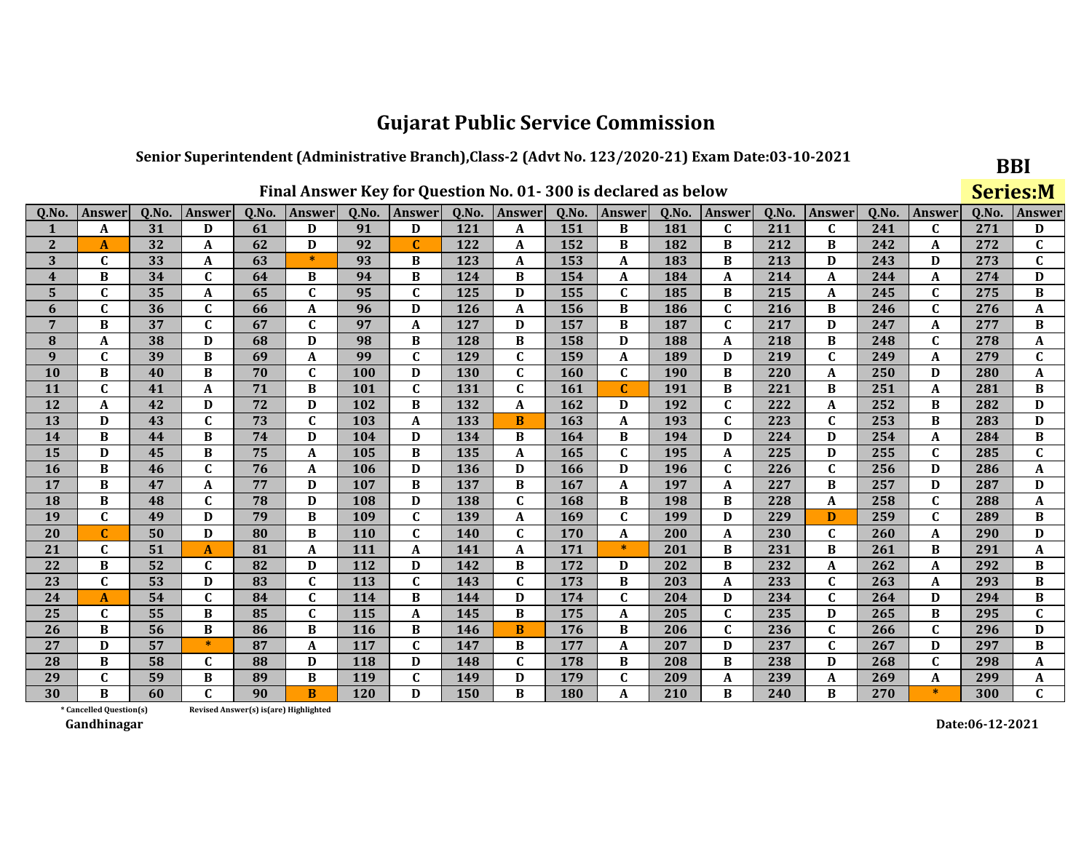#### Senior Superintendent (Administrative Branch), Class-2 (Advt No. 123/2020-21) Exam Date:03-10-2021

|                         |                                                                                                                                                                              |    |              |    |                                        |            | Final Answer Key for Question No. 01-300 is declared as below |     |              |     |              |     |              |     |              |       |              | <b>Series:M</b> |                           |
|-------------------------|------------------------------------------------------------------------------------------------------------------------------------------------------------------------------|----|--------------|----|----------------------------------------|------------|---------------------------------------------------------------|-----|--------------|-----|--------------|-----|--------------|-----|--------------|-------|--------------|-----------------|---------------------------|
| Q.No.                   | Q.No.<br>Q.No.<br>Answer<br>Q.No.<br>Q.No.<br>Answer<br>Q.No.<br>Answer<br>Q.No.<br>Q.No.<br>Answer<br>Q.No.<br><b>Answer</b><br>Answer<br><b>Answer</b><br>Answer<br>Answer |    |              |    |                                        |            |                                                               |     |              |     |              |     |              |     |              | 0.No. | Answer       |                 |                           |
| 1                       | A                                                                                                                                                                            | 31 | D            | 61 | D                                      | 91         | D                                                             | 121 | A            | 151 | B            | 181 | $\mathbf{C}$ | 211 | $\mathbf{C}$ | 241   | $\mathbf{C}$ | 271             | D                         |
| $\overline{2}$          | A                                                                                                                                                                            | 32 | A            | 62 | D                                      | 92         | $\mathbf C$                                                   | 122 | A            | 152 | B            | 182 | B            | 212 | B            | 242   | A            | 272             | $\mathbf{C}$              |
| 3                       | $\mathbf C$                                                                                                                                                                  | 33 | A            | 63 | $\ast$                                 | 93         | B                                                             | 123 | A            | 153 | $\mathbf A$  | 183 | B            | 213 | D            | 243   | D            | 273             | $\mathbf{C}$              |
| $\overline{\mathbf{4}}$ | B                                                                                                                                                                            | 34 | $\mathbf{C}$ | 64 | B                                      | 94         | B                                                             | 124 | B            | 154 | A            | 184 | A            | 214 | A            | 244   | A            | 274             | D                         |
| 5                       | $\mathbf{C}$                                                                                                                                                                 | 35 | A            | 65 | $\mathbf{C}$                           | 95         | $\mathbf C$                                                   | 125 | D            | 155 | $\mathbf{C}$ | 185 | B            | 215 | A            | 245   | $\mathbf{C}$ | 275             | B                         |
| 6                       | $\mathbf{C}$                                                                                                                                                                 | 36 | $\mathbf{C}$ | 66 | A                                      | 96         | D                                                             | 126 | A            | 156 | B            | 186 | $\mathbf{C}$ | 216 | B            | 246   | $\mathbf{C}$ | 276             | A                         |
| $\overline{7}$          | B                                                                                                                                                                            | 37 | $\mathbf{C}$ | 67 | $\mathbf C$                            | 97         | $\boldsymbol{A}$                                              | 127 | D            | 157 | B            | 187 | $\mathbf C$  | 217 | D            | 247   | A            | 277             | B                         |
| 8                       | A                                                                                                                                                                            | 38 | D            | 68 | D                                      | 98         | B                                                             | 128 | B            | 158 | D            | 188 | A            | 218 | B            | 248   | $\mathbf C$  | 278             | A                         |
| 9                       | $\mathbf{C}$                                                                                                                                                                 | 39 | B            | 69 | $\mathbf{A}$                           | 99         | $\mathbf C$                                                   | 129 | $\mathbf{C}$ | 159 | A            | 189 | D            | 219 | $\mathbf{C}$ | 249   | A            | 279             | $\mathbf{C}$              |
| 10                      | B                                                                                                                                                                            | 40 | B            | 70 | $\mathbf{C}$                           | 100        | D                                                             | 130 | $\mathbf{C}$ | 160 | $\mathbf{C}$ | 190 | B            | 220 | A            | 250   | D            | 280             | A                         |
| 11                      | $\mathbf C$                                                                                                                                                                  | 41 | A            | 71 | B                                      | 101        | $\mathbf{C}$                                                  | 131 | $\mathbf C$  | 161 | $\mathbf C$  | 191 | B            | 221 | B            | 251   | A            | 281             | B                         |
| 12                      | A                                                                                                                                                                            | 42 | D            | 72 | D                                      | 102        | B                                                             | 132 | A            | 162 | D            | 192 | $\mathbf{C}$ | 222 | A            | 252   | B            | 282             | D                         |
| 13                      | D                                                                                                                                                                            | 43 | $\mathbf{C}$ | 73 | $\mathbf C$                            | 103        | $\mathbf{A}$                                                  | 133 | B            | 163 | A            | 193 | $\mathbf C$  | 223 | $\mathbf{C}$ | 253   | B            | 283             | D                         |
| 14                      | B                                                                                                                                                                            | 44 | B            | 74 | D                                      | 104        | D                                                             | 134 | B            | 164 | B            | 194 | D            | 224 | D            | 254   | A            | 284             | B                         |
| 15                      | D                                                                                                                                                                            | 45 | B            | 75 | A                                      | 105        | B                                                             | 135 | A            | 165 | $\mathbf C$  | 195 | A            | 225 | D            | 255   | $\mathbf{C}$ | 285             | $\overline{\mathfrak{c}}$ |
| 16                      | B                                                                                                                                                                            | 46 | $\mathbf C$  | 76 | A                                      | 106        | D                                                             | 136 | D            | 166 | D            | 196 | $\mathbf{C}$ | 226 | $\mathbf{C}$ | 256   | D            | 286             | A                         |
| 17                      | B                                                                                                                                                                            | 47 | A            | 77 | D                                      | 107        | B                                                             | 137 | B            | 167 | A            | 197 | A            | 227 | B            | 257   | D            | 287             | D                         |
| 18                      | B                                                                                                                                                                            | 48 | $\mathbf{C}$ | 78 | D                                      | 108        | D                                                             | 138 | $\mathbf C$  | 168 | B            | 198 | B            | 228 | A            | 258   | $\mathbf C$  | 288             | A                         |
| 19                      | $\mathbf{C}$                                                                                                                                                                 | 49 | D            | 79 | B                                      | 109        | $\mathbf C$                                                   | 139 | A            | 169 | $\mathbf C$  | 199 | D            | 229 | D            | 259   | $\mathbf{C}$ | 289             | B                         |
| 20                      |                                                                                                                                                                              | 50 | D            | 80 | B                                      | 110        | $\mathbf C$                                                   | 140 | $\mathbf C$  | 170 | A            | 200 | A            | 230 | C            | 260   | A            | 290             | D                         |
| 21                      | $\mathbf C$                                                                                                                                                                  | 51 | $\mathbf{A}$ | 81 | A                                      | 111        | $\mathbf{A}$                                                  | 141 | A            | 171 | $\ast$       | 201 | B            | 231 | B            | 261   | B            | 291             | A                         |
| 22                      | B                                                                                                                                                                            | 52 | $\mathbf C$  | 82 | D                                      | 112        | D                                                             | 142 | B            | 172 | D            | 202 | B            | 232 | A            | 262   | A            | 292             | B                         |
| 23                      | $\mathbf C$                                                                                                                                                                  | 53 | D            | 83 | $\mathbf C$                            | 113        | $\mathbf{C}$                                                  | 143 | $\mathbf{C}$ | 173 | B            | 203 | A            | 233 | $\mathbf{C}$ | 263   | A            | 293             | B                         |
| 24                      | A                                                                                                                                                                            | 54 | $\mathbf C$  | 84 | $\mathbf C$                            | 114        | B                                                             | 144 | D            | 174 | $\mathbf C$  | 204 | D            | 234 | $\mathbf{C}$ | 264   | D            | 294             | B                         |
| 25                      | $\mathbf C$                                                                                                                                                                  | 55 | B            | 85 | $\mathbf C$                            | 115        | A                                                             | 145 | B            | 175 | A            | 205 | $\mathbf C$  | 235 | D            | 265   | B            | 295             | $\mathbf C$               |
| 26                      | B                                                                                                                                                                            | 56 | B            | 86 | B                                      | <b>116</b> | B                                                             | 146 | B            | 176 | B            | 206 | $\mathbf C$  | 236 | $\mathbf{C}$ | 266   | $\mathbf C$  | 296             | D                         |
| 27                      | D                                                                                                                                                                            | 57 | $\ast$       | 87 | A                                      | 117        | $\mathbf C$                                                   | 147 | B            | 177 | A            | 207 | D            | 237 | $\mathbf{C}$ | 267   | D            | 297             | B                         |
| 28                      | B                                                                                                                                                                            | 58 | C            | 88 | D                                      | <b>118</b> | D                                                             | 148 | C            | 178 | B            | 208 | B            | 238 | D            | 268   | C            | 298             | A                         |
| 29                      | $\mathbf{C}$                                                                                                                                                                 | 59 | B            | 89 | B                                      | 119        | $\mathbf C$                                                   | 149 | D            | 179 | $\mathbf C$  | 209 | A            | 239 | A            | 269   | A            | 299             | A                         |
| 30                      | R                                                                                                                                                                            | 60 | $\mathbf{C}$ | 90 | B                                      | 120        | D                                                             | 150 | B            | 180 | A            | 210 | B            | 240 | B            | 270   | $\ast$       | 300             | $\mathbf{C}$              |
|                         | * Cancelled Question(s)                                                                                                                                                      |    |              |    | Revised Answer(s) is (are) Highlighted |            |                                                               |     |              |     |              |     |              |     |              |       |              |                 |                           |

Gandhinagar

Date:06-12-2021

**BBI**  $C<sub>out</sub> = 1$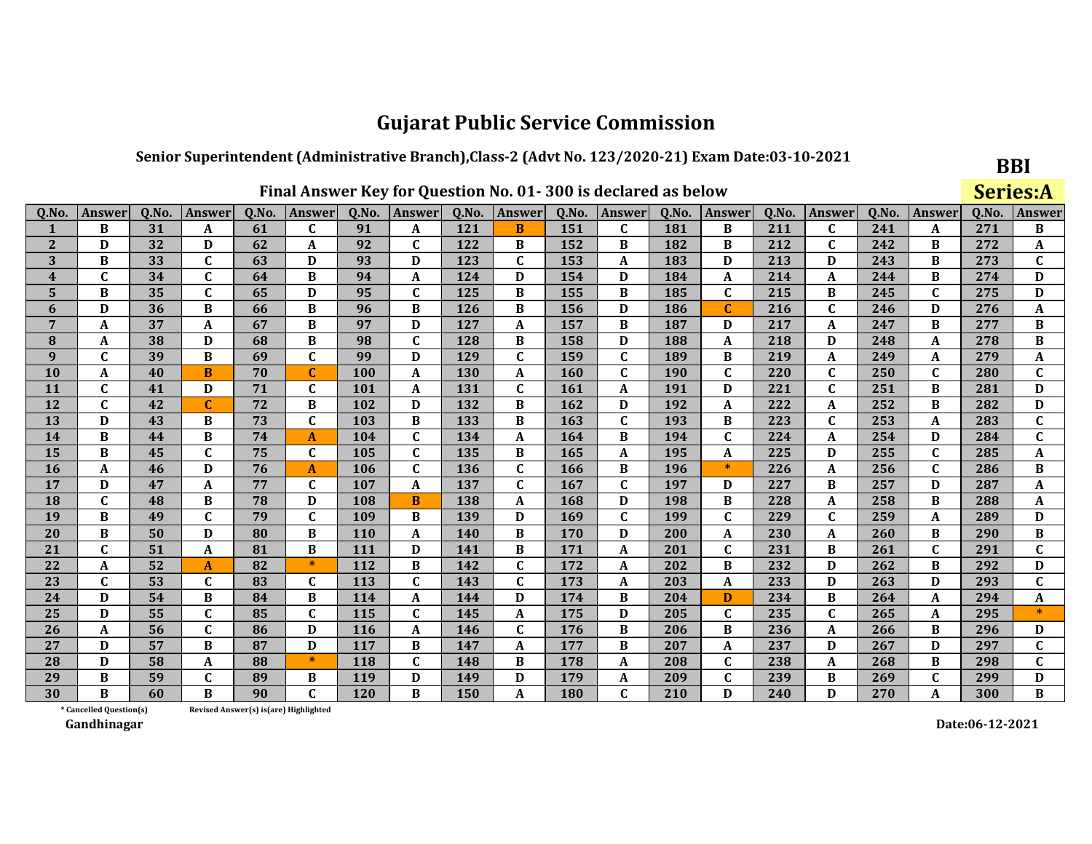#### Senior Superintendent (Administrative Branch), Class-2 (Advt No. 123/2020-21) Exam Date:03-10-2021

|                         |                                                                                                                                                      |    |              |                                       |              |            |              |            |                  |     | Final Answer Key for Question No. 01-300 is declared as below |     |              |     |              |        |              |        | <b>Series:A</b> |
|-------------------------|------------------------------------------------------------------------------------------------------------------------------------------------------|----|--------------|---------------------------------------|--------------|------------|--------------|------------|------------------|-----|---------------------------------------------------------------|-----|--------------|-----|--------------|--------|--------------|--------|-----------------|
| Q.No.                   | Q.No.<br>Q.No.<br>Q.No.<br>Q.No.<br>Answer<br>Answer<br>Answer<br>Answer<br>Q.No.<br>Q.No.<br>Q.No.<br>Answer<br>Q.No.<br>Answer<br>Answer<br>Answer |    |              |                                       |              |            |              |            |                  |     |                                                               |     |              |     |              | Answer | Q.No.        | Answer |                 |
| 1                       | B                                                                                                                                                    | 31 | A            | 61                                    | $\mathbf{C}$ | 91         | A            | 121        | B                | 151 | $\mathbf{C}$                                                  | 181 | B            | 211 | $\mathbf C$  | 241    | A            | 271    | B               |
| $\overline{2}$          | D                                                                                                                                                    | 32 | D            | 62                                    | A            | 92         | $\mathbf{C}$ | 122        | B                | 152 | B                                                             | 182 | B            | 212 | $\mathbf{C}$ | 242    | B            | 272    | A               |
| 3                       | B                                                                                                                                                    | 33 | $\mathbf C$  | 63                                    | D            | 93         | D            | 123        | $\mathbf C$      | 153 | A                                                             | 183 | D            | 213 | D            | 243    | B            | 273    | $\mathbf{C}$    |
| $\overline{\mathbf{4}}$ | $\mathbf{C}$                                                                                                                                         | 34 | $\mathbf{C}$ | 64                                    | B            | 94         | $\mathbf{A}$ | 124        | D                | 154 | D                                                             | 184 | A            | 214 | A            | 244    | B            | 274    | D               |
| 5                       | B                                                                                                                                                    | 35 | $\mathbf C$  | 65                                    | D            | 95         | $\mathbf C$  | 125        | B                | 155 | B                                                             | 185 | $\mathbf C$  | 215 | B            | 245    | $\mathbf{C}$ | 275    | D               |
| 6                       | D                                                                                                                                                    | 36 | B            | 66                                    | B            | 96         | B            | 126        | B                | 156 | D                                                             | 186 | C            | 216 | $\mathbf C$  | 246    | D            | 276    | A               |
| 7                       | A                                                                                                                                                    | 37 | A            | 67                                    | B            | 97         | D            | 127        | A                | 157 | B                                                             | 187 | D            | 217 | A            | 247    | B            | 277    | В               |
| 8                       | A                                                                                                                                                    | 38 | D            | 68                                    | B            | 98         | $\mathbf{C}$ | 128        | B                | 158 | D                                                             | 188 | A            | 218 | D            | 248    | A            | 278    | B               |
| 9                       | $\mathbf C$                                                                                                                                          | 39 | B            | 69                                    | $\mathbf{C}$ | 99         | D            | 129        | $\mathbf C$      | 159 | $\mathbf C$                                                   | 189 | B            | 219 | A            | 249    | A            | 279    | A               |
| 10                      | A                                                                                                                                                    | 40 | B            | 70                                    | $\mathbf C$  | 100        | A            | 130        | A                | 160 | $\mathbf{C}$                                                  | 190 | $\mathbf C$  | 220 | $\mathbf{C}$ | 250    | $\mathbf{C}$ | 280    | $\mathbf{C}$    |
| 11                      | $\mathbf C$                                                                                                                                          | 41 | D            | 71                                    | C            | 101        | $\mathbf A$  | 131        | $\mathbf C$      | 161 | A                                                             | 191 | D            | 221 | $\mathbf C$  | 251    | B            | 281    | D               |
| 12                      | $\mathbf{C}$                                                                                                                                         | 42 | C            | 72                                    | B            | 102        | D            | 132        | B                | 162 | D                                                             | 192 | A            | 222 | A            | 252    | B            | 282    | D               |
| 13                      | D                                                                                                                                                    | 43 | B            | 73                                    | $\mathbf{C}$ | 103        | B            | 133        | B                | 163 | $\mathbf{C}$                                                  | 193 | B            | 223 | $\mathbf C$  | 253    | A            | 283    | $\mathbf{C}$    |
| 14                      | B                                                                                                                                                    | 44 | B            | 74                                    | $\mathbf{A}$ | 104        | $\mathbf C$  | 134        | A                | 164 | B                                                             | 194 | $\mathbf{C}$ | 224 | A            | 254    | D            | 284    | $\mathbf{C}$    |
| 15                      | B                                                                                                                                                    | 45 | $\mathbf C$  | 75                                    | $\mathbf C$  | 105        | $\mathbf C$  | 135        | B                | 165 | A                                                             | 195 | A            | 225 | D            | 255    | $\mathbf C$  | 285    | A               |
| 16                      | A                                                                                                                                                    | 46 | D            | 76                                    | A            | 106        | $\mathbf C$  | 136        | $\mathbf C$      | 166 | B                                                             | 196 | $\ast$       | 226 | A            | 256    | $\mathbf{C}$ | 286    | B               |
| 17                      | D                                                                                                                                                    | 47 | A            | 77                                    | $\mathbf C$  | 107        | A            | 137        | $\mathbf C$      | 167 | $\mathbf{C}$                                                  | 197 | D            | 227 | B            | 257    | D            | 287    | A               |
| 18                      | $\mathbf{C}$                                                                                                                                         | 48 | B            | 78                                    | D            | 108        | B            | 138        | A                | 168 | D                                                             | 198 | B            | 228 | A            | 258    | B            | 288    | A               |
| 19                      | B                                                                                                                                                    | 49 | $\mathbf C$  | 79                                    | $\mathbf C$  | 109        | B            | 139        | D                | 169 | $\mathbf C$                                                   | 199 | $\mathbf C$  | 229 | $\mathbf C$  | 259    | A            | 289    | D               |
| 20                      | B                                                                                                                                                    | 50 | D            | 80                                    | B            | <b>110</b> | A            | <b>140</b> | B                | 170 | D                                                             | 200 | A            | 230 | A            | 260    | B            | 290    | В               |
| 21                      | $\mathbf{C}$                                                                                                                                         | 51 | A            | 81                                    | B            | 111        | D            | 141        | B                | 171 | A                                                             | 201 | $\mathbf C$  | 231 | B            | 261    | $\mathbf C$  | 291    | $\mathbf{C}$    |
| 22                      | A                                                                                                                                                    | 52 | A            | 82                                    | $\ast$       | 112        | B            | 142        | $\mathbf C$      | 172 | A                                                             | 202 | B            | 232 | D            | 262    | B            | 292    | D               |
| 23                      | $\mathbf C$                                                                                                                                          | 53 | $\mathbf C$  | 83                                    | $\mathbf C$  | 113        | $\mathbf C$  | 143        | $\mathbf C$      | 173 | A                                                             | 203 | A            | 233 | D            | 263    | D            | 293    | $\mathbf{C}$    |
| 24                      | D                                                                                                                                                    | 54 | B            | 84                                    | B            | 114        | A            | 144        | D                | 174 | B                                                             | 204 | D            | 234 | В            | 264    | A            | 294    | A               |
| 25                      | D                                                                                                                                                    | 55 | $\mathbf{C}$ | 85                                    | $\mathbf{C}$ | 115        | $\mathbf{C}$ | 145        | A                | 175 | D                                                             | 205 | $\mathbf{C}$ | 235 | $\mathbf C$  | 265    | A            | 295    | $\ast$          |
| 26                      | A                                                                                                                                                    | 56 | $\mathbf{C}$ | 86                                    | D            | 116        | A            | 146        | $\mathbf C$      | 176 | B                                                             | 206 | B            | 236 | A            | 266    | B            | 296    | D               |
| 27                      | D                                                                                                                                                    | 57 | B            | 87                                    | D            | 117        | B            | 147        | $\boldsymbol{A}$ | 177 | B                                                             | 207 | A            | 237 | D            | 267    | D            | 297    | $\mathbf{C}$    |
| 28                      | D                                                                                                                                                    | 58 | A            | 88                                    | $\ast$       | 118        | $\mathbf{C}$ | 148        | B                | 178 | A                                                             | 208 | $\mathbf{C}$ | 238 | A            | 268    | B            | 298    | $\mathbf{C}$    |
| 29                      | B                                                                                                                                                    | 59 | $\mathbf{C}$ | 89                                    | B            | 119        | D            | 149        | D                | 179 | $\mathbf{A}$                                                  | 209 | $\mathbf C$  | 239 | B            | 269    | $\mathbf C$  | 299    | D               |
| 30                      | R                                                                                                                                                    | 60 | B            | 90                                    | $\mathbf{C}$ | 120        | B            | 150        | A                | 180 | $\mathbf C$                                                   | 210 | D            | 240 | D            | 270    | A            | 300    | B               |
|                         | * Cancelled Question(s)                                                                                                                              |    |              | Revised Answer(s) is(are) Highlighted |              |            |              |            |                  |     |                                                               |     |              |     |              |        |              |        |                 |

Revised Answer(s) is(are) Highlighted

Gandhinagar

Date:06-12-2021

**BBI**  $\mathbf{C}$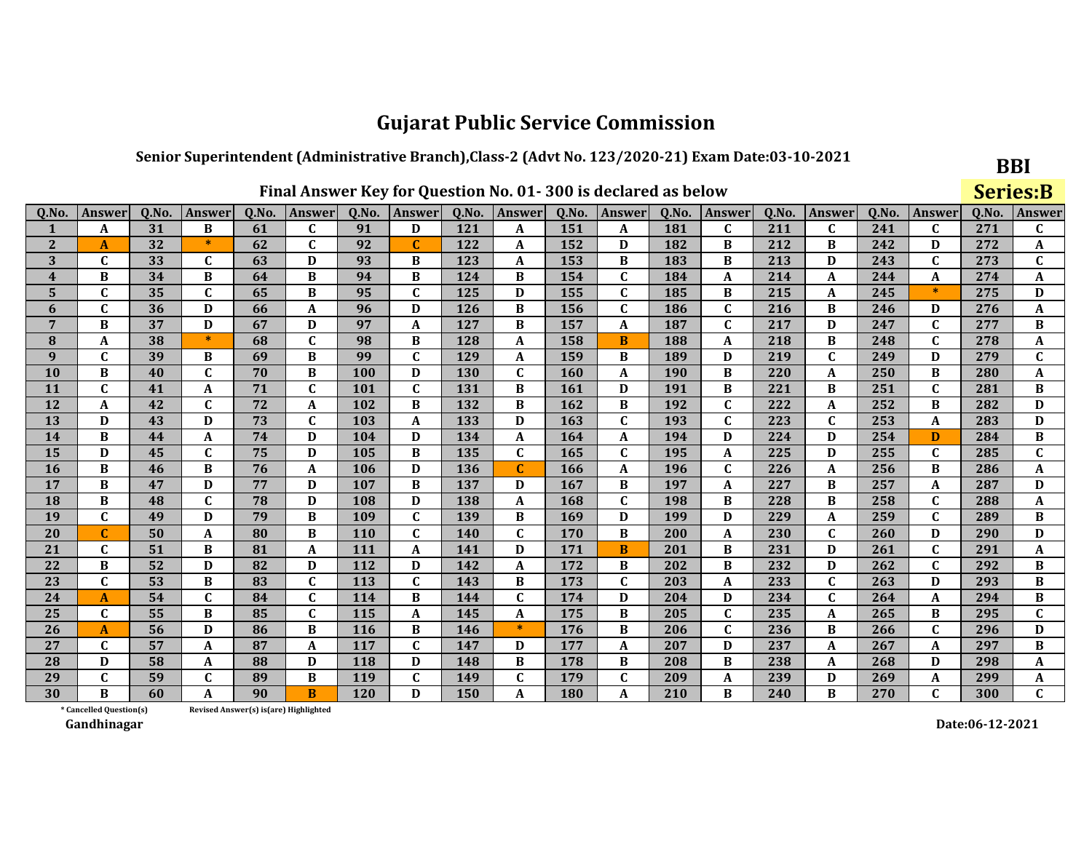#### Senior Superintendent (Administrative Branch), Class-2 (Advt No. 123/2020-21) Exam Date:03-10-2021

|                |               | Final Answer Key for Question No. 01-300 is declared as below |              |       |               |       |              |       |             |       |               |       |              |       |               | <b>Series:B</b> |              |       |              |
|----------------|---------------|---------------------------------------------------------------|--------------|-------|---------------|-------|--------------|-------|-------------|-------|---------------|-------|--------------|-------|---------------|-----------------|--------------|-------|--------------|
| 0.No.          | <b>Answer</b> | Q.No.                                                         | Answer       | Q.No. | <b>Answer</b> | Q.No. | Answer       | Q.No. | Answer      | Q.No. | <b>Answer</b> | Q.No. | Answer       | 0.No. | <b>Answer</b> | 0.No.           | Answer       | Q.No. | Answer       |
|                | A             | 31                                                            | B            | 61    | C             | 91    | D            | 121   | A           | 151   | A             | 181   | C            | 211   | $\mathbf{C}$  | 241             | C            | 271   | $\mathbf{C}$ |
| $\overline{2}$ | A             | 32                                                            | $\ast$       | 62    | $\mathbf{C}$  | 92    | $\mathbf C$  | 122   | A           | 152   | D             | 182   | B            | 212   | B             | 242             | D            | 272   | A            |
| 3              | $\mathbf{C}$  | 33                                                            | $\mathbf{C}$ | 63    | D             | 93    | B            | 123   | A           | 153   | B             | 183   | B            | 213   | D             | 243             | $\mathbf C$  | 273   | $\mathbf{C}$ |
| 4              | B             | 34                                                            | B            | 64    | B             | 94    | B            | 124   | B           | 154   | $\mathbf{C}$  | 184   | A            | 214   | A             | 244             | A            | 274   | A            |
| 5              | $\mathbf{C}$  | 35                                                            | $\mathbf{C}$ | 65    | B             | 95    | $\mathbf{C}$ | 125   | D           | 155   | $\mathbf C$   | 185   | B            | 215   | A             | 245             | $\ast$       | 275   | D            |
| 6              | $\mathbf{C}$  | 36                                                            | D            | 66    | A             | 96    | D            | 126   | $\bf{B}$    | 156   | $\mathbf C$   | 186   | $\mathbf C$  | 216   | B             | 246             | D            | 276   | A            |
| $\overline{7}$ | B             | 37                                                            | D            | 67    | D             | 97    | A            | 127   | B           | 157   | A             | 187   | $\mathbf{C}$ | 217   | D             | 247             | $\mathbf{C}$ | 277   | B            |
| 8              | A             | 38                                                            | $\ast$       | 68    | $\mathbf C$   | 98    | B            | 128   | A           | 158   | B             | 188   | A            | 218   | B             | 248             | $\mathbf C$  | 278   | A            |
| 9              | C             | 39                                                            | B            | 69    | B             | 99    | $\mathbf C$  | 129   | A           | 159   | B             | 189   | D            | 219   | $\mathbf C$   | 249             | D            | 279   | $\mathbf{C}$ |
| 10             | B             | 40                                                            | $\mathbf{C}$ | 70    | B             | 100   | D            | 130   | $\mathbf C$ | 160   | A             | 190   | B            | 220   | A             | 250             | B            | 280   | A            |
| 11             | $\mathbf{C}$  | 41                                                            | A            | 71    | $\mathbf{C}$  | 101   | $\mathbf{C}$ | 131   | B           | 161   | D             | 191   | B            | 221   | B             | 251             | $\mathbf{C}$ | 281   | B            |
| 12             | A             | 42                                                            | $\mathbf{C}$ | 72    | A             | 102   | B            | 132   | B           | 162   | B             | 192   | $\mathbf{C}$ | 222   | A             | 252             | B            | 282   | D            |
| 13             | D             | 43                                                            | D            | 73    | C             | 103   | A            | 133   | D           | 163   | $\mathbf{C}$  | 193   | $\mathbf{C}$ | 223   | $\mathbf C$   | 253             | A            | 283   | D            |
| 14             | B             | 44                                                            | A            | 74    | D             | 104   | D            | 134   | A           | 164   | A             | 194   | D            | 224   | D             | 254             | D            | 284   | B            |
| 15             | D             | 45                                                            | C            | 75    | D             | 105   | B            | 135   | C           | 165   | $\mathbf{C}$  | 195   | A            | 225   | D             | 255             | $\mathbf{C}$ | 285   | $\mathbf{C}$ |
| 16             | B             | 46                                                            | B            | 76    | A             | 106   | D            | 136   | $\mathbf C$ | 166   | A             | 196   | $\mathbf{C}$ | 226   | A             | 256             | B            | 286   | A            |
| 17             | B             | 47                                                            | D            | 77    | D             | 107   | B            | 137   | D           | 167   | B             | 197   | A            | 227   | B             | 257             | A            | 287   | D            |
| 18             | B             | 48                                                            | $\mathbf{C}$ | 78    | D             | 108   | D            | 138   | A           | 168   | $\mathbf{C}$  | 198   | B            | 228   | В             | 258             | $\mathbf{C}$ | 288   | A            |
| 19             | $\mathbf{C}$  | 49                                                            | D            | 79    | B             | 109   | $\mathbf C$  | 139   | B           | 169   | D             | 199   | D            | 229   | A             | 259             | $\mathbf C$  | 289   | B            |
| 20             | $\mathbf{C}$  | 50                                                            | A            | 80    | B             | 110   | $\mathbf{C}$ | 140   | $\mathbf C$ | 170   | B             | 200   | A            | 230   | $\mathbf{C}$  | 260             | D            | 290   | $\mathbf D$  |
| 21             | $\mathbf{C}$  | 51                                                            | B            | 81    | A             | 111   | A            | 141   | D           | 171   | B             | 201   | B            | 231   | D             | 261             | $\mathbf C$  | 291   | A            |
| 22             | B             | 52                                                            | D            | 82    | D             | 112   | D            | 142   | A           | 172   | B             | 202   | B            | 232   | D             | 262             | $\mathbf C$  | 292   | B            |
| 23             | $\mathbf{C}$  | 53                                                            | B            | 83    | $\mathbf{C}$  | 113   | $\mathbf{C}$ | 143   | B           | 173   | $\mathbf{C}$  | 203   | A            | 233   | $\mathbf{C}$  | 263             | D            | 293   | B            |
| 24             | A             | 54                                                            | $\mathbf{C}$ | 84    | $\mathbf{C}$  | 114   | B            | 144   | $\mathbf C$ | 174   | D             | 204   | D            | 234   | $\mathbf C$   | 264             | A            | 294   | $\, {\bf B}$ |
| 25             | C             | 55                                                            | B            | 85    | C             | 115   | A            | 145   | A           | 175   | B             | 205   | $\mathbf{C}$ | 235   | A             | 265             | B            | 295   | C            |
| 26             | A             | 56                                                            | D            | 86    | B             | 116   | B            | 146   | $\ast$      | 176   | $\bf{B}$      | 206   | $\mathbf C$  | 236   | B             | 266             | $\mathbf C$  | 296   | D            |
| 27             | $\mathbf{C}$  | 57                                                            | A            | 87    | A             | 117   | $\mathbf{C}$ | 147   | D           | 177   | A             | 207   | D            | 237   | A             | 267             | A            | 297   | B            |
| 28             | D             | 58                                                            | A            | 88    | D             | 118   | D            | 148   | B           | 178   | B             | 208   | B            | 238   | A             | 268             | D            | 298   | A            |
| 29             | $\mathbf{C}$  | 59                                                            | $\mathbf C$  | 89    | B             | 119   | $\mathbf{C}$ | 149   | $\mathbf C$ | 179   | $\mathbf C$   | 209   | A            | 239   | D             | 269             | A            | 299   | A            |
| 30             | B             | 60                                                            | A            | 90    | B             | 120   | D            | 150   | A           | 180   | A             | 210   | B            | 240   | B             | 270             | $\mathbf{C}$ | 300   | $\mathbf{C}$ |

Final Answer Key for Question No. 01-200 is declared as helew

\* Cancelled Question(s) Revised Answer(s) is(are) Highlighted

Gandhinagar

Date:06-12-2021

**BBI**  $C<sub>out</sub> = 0$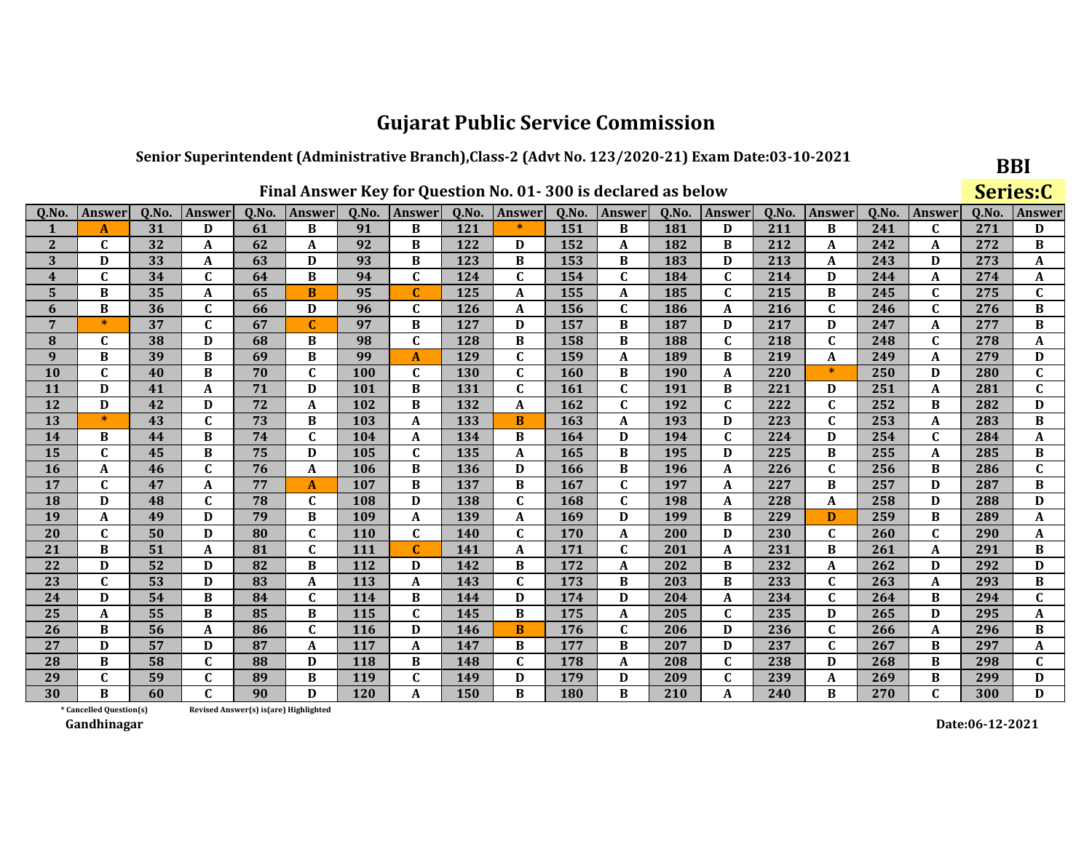### Senior Superintendent (Administrative Branch), Class-2 (Advt No. 123/2020-21) Exam Date:03-10-2021

|                         |                         |       |              |       |                                       |            |               |       | Final Answer Key for Question No. 01-300 is declared as below |       |               |       |               |       |               |       |              |       | Series:C     |
|-------------------------|-------------------------|-------|--------------|-------|---------------------------------------|------------|---------------|-------|---------------------------------------------------------------|-------|---------------|-------|---------------|-------|---------------|-------|--------------|-------|--------------|
| Q.No.                   | <b>Answer</b>           | Q.No. | Answer       | Q.No. | <b>Answer</b>                         | Q.No.      | <b>Answer</b> | Q.No. | Answer                                                        | Q.No. | <b>Answer</b> | Q.No. | <b>Answer</b> | Q.No. | <b>Answer</b> | Q.No. | Answer       | Q.No. | Answer       |
|                         | A                       | 31    | D            | 61    | B                                     | 91         | B             | 121   | *                                                             | 151   | B             | 181   | D             | 211   | B             | 241   | C            | 271   | D            |
| $\overline{2}$          | $\mathbf{C}$            | 32    | A            | 62    | A                                     | 92         | B             | 122   | D                                                             | 152   | A             | 182   | B             | 212   | A             | 242   | A            | 272   | B            |
| 3                       | D                       | 33    | A            | 63    | D                                     | 93         | B             | 123   | B                                                             | 153   | B             | 183   | D             | 213   | A             | 243   | D            | 273   | A            |
| $\overline{\mathbf{4}}$ | $\mathbf C$             | 34    | C            | 64    | B                                     | 94         | C             | 124   | $\mathbf C$                                                   | 154   | $\mathbf{C}$  | 184   | $\mathbf C$   | 214   | D             | 244   | A            | 274   | A            |
| 5                       | B                       | 35    | A            | 65    | B                                     | 95         |               | 125   | A                                                             | 155   | A             | 185   | $\mathbf C$   | 215   | B             | 245   | $\mathbf C$  | 275   | C            |
| 6                       | B                       | 36    | C            | 66    | D                                     | 96         | C             | 126   | A                                                             | 156   | $\mathbf C$   | 186   | A             | 216   | C             | 246   | $\mathbf C$  | 276   | B            |
| $\overline{7}$          | $\ast$                  | 37    | $\mathbf{C}$ | 67    | $\mathbf{C}$                          | 97         | B             | 127   | D                                                             | 157   | B             | 187   | D             | 217   | D             | 247   | A            | 277   | B            |
| 8                       | C                       | 38    | D            | 68    | B                                     | 98         | C             | 128   | B                                                             | 158   | B             | 188   | $\mathbf C$   | 218   | $\mathbf{C}$  | 248   | $\mathbf C$  | 278   | A            |
| $\boldsymbol{q}$        | B                       | 39    | B            | 69    | B                                     | 99         | A             | 129   | $\mathbf C$                                                   | 159   | A             | 189   | B             | 219   | A             | 249   | A            | 279   | D            |
| <b>10</b>               | $\mathbf C$             | 40    | B            | 70    | $\mathbf C$                           | 100        | $\mathbf{C}$  | 130   | $\mathbf C$                                                   | 160   | B             | 190   | A             | 220   | $\ast$        | 250   | D            | 280   | $\mathbf{C}$ |
| 11                      | D                       | 41    | A            | 71    | D                                     | 101        | B             | 131   | $\mathbf C$                                                   | 161   | $\mathbf{C}$  | 191   | B             | 221   | D             | 251   | A            | 281   | $\mathbf{C}$ |
| 12                      | D                       | 42    | D            | 72    | $\mathbf{A}$                          | 102        | B             | 132   | A                                                             | 162   | $\mathbf{C}$  | 192   | $\mathbf C$   | 222   | $\mathbf{C}$  | 252   | B            | 282   | D            |
| 13                      | $\ast$                  | 43    | $\mathbf{C}$ | 73    | B                                     | 103        | A             | 133   | B                                                             | 163   | A             | 193   | D             | 223   | $\mathbf{C}$  | 253   | A            | 283   | B            |
| 14                      | B                       | 44    | B            | 74    | $\mathbf C$                           | 104        | A             | 134   | B                                                             | 164   | D             | 194   | $\mathbf C$   | 224   | D             | 254   | $\mathbf{C}$ | 284   | A            |
| 15                      | $\mathbf C$             | 45    | B            | 75    | D                                     | 105        | $\mathbf{C}$  | 135   | A                                                             | 165   | B             | 195   | D             | 225   | B             | 255   | A            | 285   | B            |
| <b>16</b>               | A                       | 46    | $\mathbf C$  | 76    | $\mathbf{A}$                          | 106        | B             | 136   | D                                                             | 166   | B             | 196   | A             | 226   | $\mathbf{C}$  | 256   | B            | 286   | C            |
| 17                      | $\mathbf C$             | 47    | A            | 77    | $\mathbf{A}$                          | 107        | B             | 137   | B                                                             | 167   | $\mathbf C$   | 197   | A             | 227   | $\bf{B}$      | 257   | D            | 287   | B            |
| <b>18</b>               | D                       | 48    | $\mathbf{C}$ | 78    | $\mathbf C$                           | 108        | D             | 138   | $\mathbf{C}$                                                  | 168   | $\mathbf C$   | 198   | A             | 228   | A             | 258   | D            | 288   | D            |
| 19                      | A                       | 49    | D            | 79    | B                                     | 109        | A             | 139   | A                                                             | 169   | D             | 199   | B             | 229   | D             | 259   | B            | 289   | A            |
| 20                      | $\mathbf C$             | 50    | D            | 80    | $\mathbf C$                           | 110        | C             | 140   | $\mathbf C$                                                   | 170   | A             | 200   | D             | 230   | $\mathbf{C}$  | 260   | C            | 290   | A            |
| 21                      | $\bf{B}$                | 51    | A            | 81    | $\mathbf C$                           | 111        | $\mathbf C$   | 141   | A                                                             | 171   | $\mathbf C$   | 201   | $\mathbf{A}$  | 231   | B             | 261   | A            | 291   | B            |
| 22                      | D                       | 52    | D            | 82    | $\, {\bf B}$                          | 112        | D             | 142   | B                                                             | 172   | A             | 202   | B             | 232   | A             | 262   | D            | 292   | D            |
| 23                      | $\mathbf C$             | 53    | D            | 83    | $\mathbf A$                           | 113        | A             | 143   | $\mathbf C$                                                   | 173   | B             | 203   | B             | 233   | $\mathbf C$   | 263   | A            | 293   | B            |
| 24                      | D                       | 54    | B            | 84    | $\mathbf C$                           | 114        | В             | 144   | D                                                             | 174   | D             | 204   | A             | 234   | $\mathbf{C}$  | 264   | B            | 294   | C            |
| 25                      | $\mathbf{A}$            | 55    | B            | 85    | B                                     | 115        | $\mathbf{C}$  | 145   | B                                                             | 175   | A             | 205   | $\mathbf C$   | 235   | D             | 265   | D            | 295   | A            |
| 26                      | B                       | 56    | A            | 86    | $\mathbf C$                           | <b>116</b> | D             | 146   | B                                                             | 176   | $\mathbf C$   | 206   | D             | 236   | $\mathbf C$   | 266   | A            | 296   | B            |
| 27                      | D                       | 57    | D            | 87    | $\boldsymbol{\mathsf{A}}$             | 117        | A             | 147   | B                                                             | 177   | B             | 207   | D             | 237   | $\mathbf C$   | 267   | B            | 297   | A            |
| 28                      | B                       | 58    | $\mathbf{C}$ | 88    | D                                     | 118        | B             | 148   | $\mathbf C$                                                   | 178   | A             | 208   | $\mathbf C$   | 238   | D             | 268   | B            | 298   | C.           |
| 29                      | C                       | 59    | $\mathbf{C}$ | 89    | B                                     | 119        | $\mathbf{C}$  | 149   | D                                                             | 179   | D             | 209   | $\mathbf C$   | 239   | A             | 269   | B            | 299   | D            |
| 30                      | B                       | 60    | C.           | 90    | D                                     | <b>120</b> | A             | 150   | B                                                             | 180   | B             | 210   | $\mathbf{A}$  | 240   | B             | 270   | $\mathbf{C}$ | 300   | D            |
|                         | * Cancelled Question(s) |       |              |       | Revised Answer(s) is(are) Highlighted |            |               |       |                                                               |       |               |       |               |       |               |       |              |       |              |

Revised Answer(s) is(are) Highlighted

Gandhinagar

Date:06-12-2021

**BBI** 

 $\sim$   $\sim$